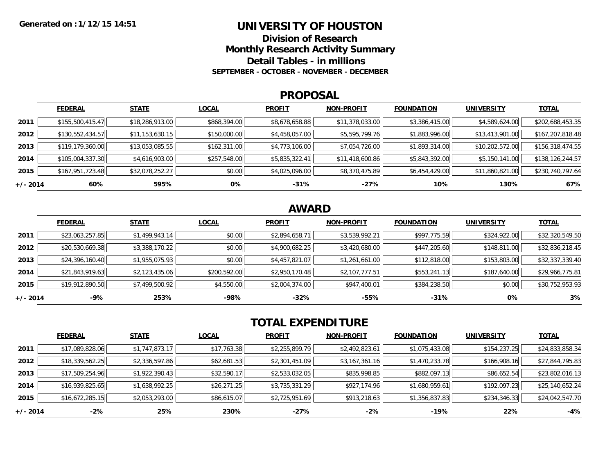### **UNIVERSITY OF HOUSTON**

**Division of ResearchMonthly Research Activity Summary Detail Tables - in millions**

**SEPTEMBER - OCTOBER - NOVEMBER - DECEMBER**

#### **PROPOSAL**

|            | <b>FEDERAL</b>   | <b>STATE</b>    | <b>LOCAL</b> | <b>PROFIT</b>  | <b>NON-PROFIT</b> | <b>FOUNDATION</b> | <b>UNIVERSITY</b> | <b>TOTAL</b>     |
|------------|------------------|-----------------|--------------|----------------|-------------------|-------------------|-------------------|------------------|
| 2011       | \$155,500,415.47 | \$18,286,913.00 | \$868,394.00 | \$8,678,658.88 | \$11,378,033.00   | \$3,386,415.00    | \$4,589,624.00    | \$202,688,453.35 |
| 2012       | \$130,552,434.57 | \$11,153,630.15 | \$150,000.00 | \$4,458,057.00 | \$5,595,799.76    | \$1,883,996.00    | \$13,413,901.00   | \$167,207,818.48 |
| 2013       | \$119,179,360.00 | \$13,053,085.55 | \$162,311.00 | \$4,773,106.00 | \$7,054,726.00    | \$1,893,314.00    | \$10,202,572.00   | \$156,318,474.55 |
| 2014       | \$105,004,337.30 | \$4,616,903.00  | \$257,548.00 | \$5,835,322.41 | \$11,418,600.86   | \$5,843,392.00    | \$5,150,141.00    | \$138,126,244.57 |
| 2015       | \$167,951,723.48 | \$32,078,252.27 | \$0.00       | \$4,025,096.00 | \$8,370,475.89    | \$6,454,429.00    | \$11,860,821.00   | \$230,740,797.64 |
| $+/- 2014$ | 60%              | 595%            | 0%           | $-31%$         | $-27%$            | 10%               | 130%              | 67%              |

# **AWARD**

|          | <b>FEDERAL</b>  | <b>STATE</b>   | <b>LOCAL</b> | <b>PROFIT</b>  | <b>NON-PROFIT</b> | <b>FOUNDATION</b> | <b>UNIVERSITY</b> | <b>TOTAL</b>    |
|----------|-----------------|----------------|--------------|----------------|-------------------|-------------------|-------------------|-----------------|
| 2011     | \$23,063,257.85 | \$1,499,943.14 | \$0.00       | \$2,894,658.71 | \$3,539,992.21    | \$997,775.59      | \$324,922.00      | \$32,320,549.50 |
| 2012     | \$20,530,669.38 | \$3,388,170.22 | \$0.00       | \$4,900,682.25 | \$3,420,680.00    | \$447,205.60      | \$148,811.00      | \$32,836,218.45 |
| 2013     | \$24,396,160.40 | \$1,955,075.93 | \$0.00       | \$4,457,821.07 | \$1,261,661.00    | \$112,818.00      | \$153,803.00      | \$32,337,339.40 |
| 2014     | \$21,843,919.63 | \$2,123,435.06 | \$200,592.00 | \$2,950,170.48 | \$2,107,777.51    | \$553,241.13      | \$187,640.00      | \$29,966,775.81 |
| 2015     | \$19,912,890.50 | \$7,499,500.92 | \$4,550.00   | \$2,004,374.00 | \$947,400.01      | \$384,238.50      | \$0.00            | \$30,752,953.93 |
| +/- 2014 | $-9%$           | 253%           | -98%         | $-32%$         | $-55%$            | $-31%$            | 0%                | 3%              |

# **TOTAL EXPENDITURE**

|            | <b>FEDERAL</b>  | <b>STATE</b>   | <b>LOCAL</b> | <b>PROFIT</b>  | <b>NON-PROFIT</b> | <b>FOUNDATION</b> | <b>UNIVERSITY</b> | <b>TOTAL</b>    |
|------------|-----------------|----------------|--------------|----------------|-------------------|-------------------|-------------------|-----------------|
| 2011       | \$17,089,828.06 | \$1,747,873.17 | \$17,763.38  | \$2,255,899.79 | \$2,492,823.61    | \$1,075,433.08    | \$154,237.25      | \$24,833,858.34 |
| 2012       | \$18,339,562.25 | \$2,336,597.86 | \$62,681.53  | \$2,301,451.09 | \$3,167,361.16    | \$1,470,233.78    | \$166,908.16      | \$27,844,795.83 |
| 2013       | \$17,509,254.96 | \$1,922,390.43 | \$32,590.17  | \$2,533,032.05 | \$835,998.85      | \$882,097.13      | \$86,652.54       | \$23,802,016.13 |
| 2014       | \$16,939,825.65 | \$1,638,992.25 | \$26,271.25  | \$3,735,331.29 | \$927,174.96      | \$1,680,959.61    | \$192,097.23      | \$25,140,652.24 |
| 2015       | \$16,672,285.15 | \$2,053,293.00 | \$86,615.07  | \$2,725,951.69 | \$913,218.63      | \$1,356,837.83    | \$234,346.33      | \$24,042,547.70 |
| $+/- 2014$ | $-2%$           | 25%            | 230%         | -27%           | $-2%$             | $-19%$            | 22%               | $-4%$           |